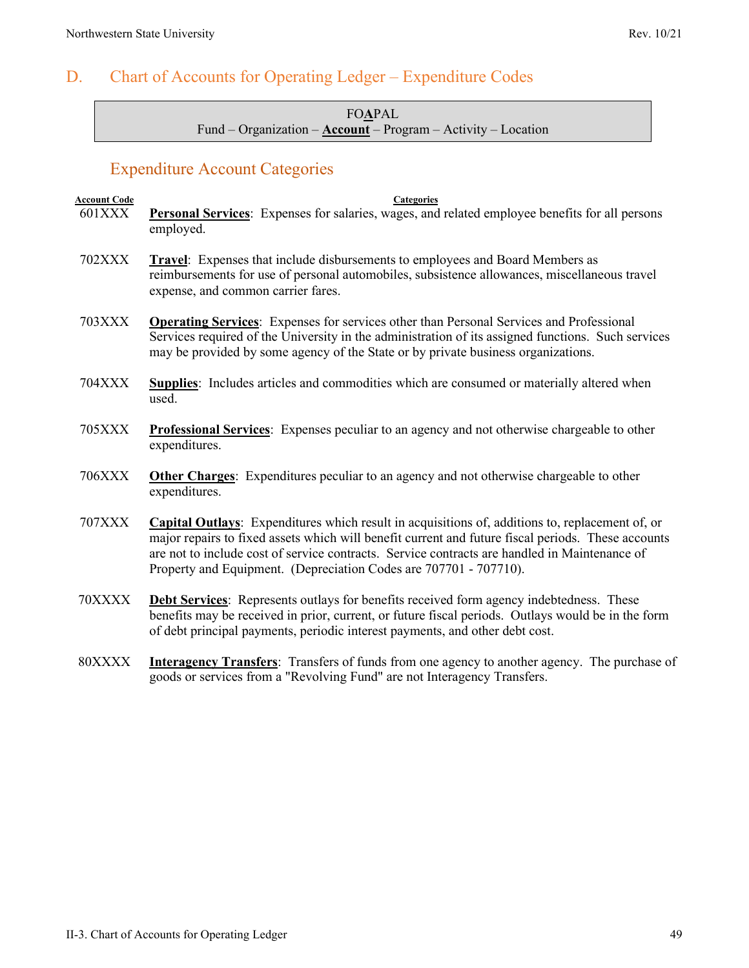# D. Chart of Accounts for Operating Ledger – Expenditure Codes

FO**A**PAL Fund – Organization – **Account** – Program – Activity – Location

# Expenditure Account Categories

| <b>Account Code</b><br><b>601XXX</b> | <b>Categories</b><br><b>Personal Services:</b> Expenses for salaries, wages, and related employee benefits for all persons                                                                                                                                                                                                                                                  |
|--------------------------------------|-----------------------------------------------------------------------------------------------------------------------------------------------------------------------------------------------------------------------------------------------------------------------------------------------------------------------------------------------------------------------------|
|                                      | employed.                                                                                                                                                                                                                                                                                                                                                                   |
| <b>702XXX</b>                        | Travel: Expenses that include disbursements to employees and Board Members as<br>reimbursements for use of personal automobiles, subsistence allowances, miscellaneous travel<br>expense, and common carrier fares.                                                                                                                                                         |
| <b>703XXX</b>                        | <b>Operating Services:</b> Expenses for services other than Personal Services and Professional<br>Services required of the University in the administration of its assigned functions. Such services<br>may be provided by some agency of the State or by private business organizations.                                                                                   |
| <b>704XXX</b>                        | Supplies: Includes articles and commodities which are consumed or materially altered when<br>used.                                                                                                                                                                                                                                                                          |
| 705XXX                               | <b>Professional Services:</b> Expenses peculiar to an agency and not otherwise chargeable to other<br>expenditures.                                                                                                                                                                                                                                                         |
| <b>706XXX</b>                        | <b>Other Charges:</b> Expenditures peculiar to an agency and not otherwise chargeable to other<br>expenditures.                                                                                                                                                                                                                                                             |
| <b>707XXX</b>                        | Capital Outlays: Expenditures which result in acquisitions of, additions to, replacement of, or<br>major repairs to fixed assets which will benefit current and future fiscal periods. These accounts<br>are not to include cost of service contracts. Service contracts are handled in Maintenance of<br>Property and Equipment. (Depreciation Codes are 707701 - 707710). |
| 70XXXX                               | <b>Debt Services:</b> Represents outlays for benefits received form agency indebtedness. These<br>benefits may be received in prior, current, or future fiscal periods. Outlays would be in the form<br>of debt principal payments, periodic interest payments, and other debt cost.                                                                                        |
|                                      | $\overline{a}$ a $\overline{a}$ and $\overline{a}$                                                                                                                                                                                                                                                                                                                          |

80XXXX **Interagency Transfers**: Transfers of funds from one agency to another agency. The purchase of goods or services from a "Revolving Fund" are not Interagency Transfers.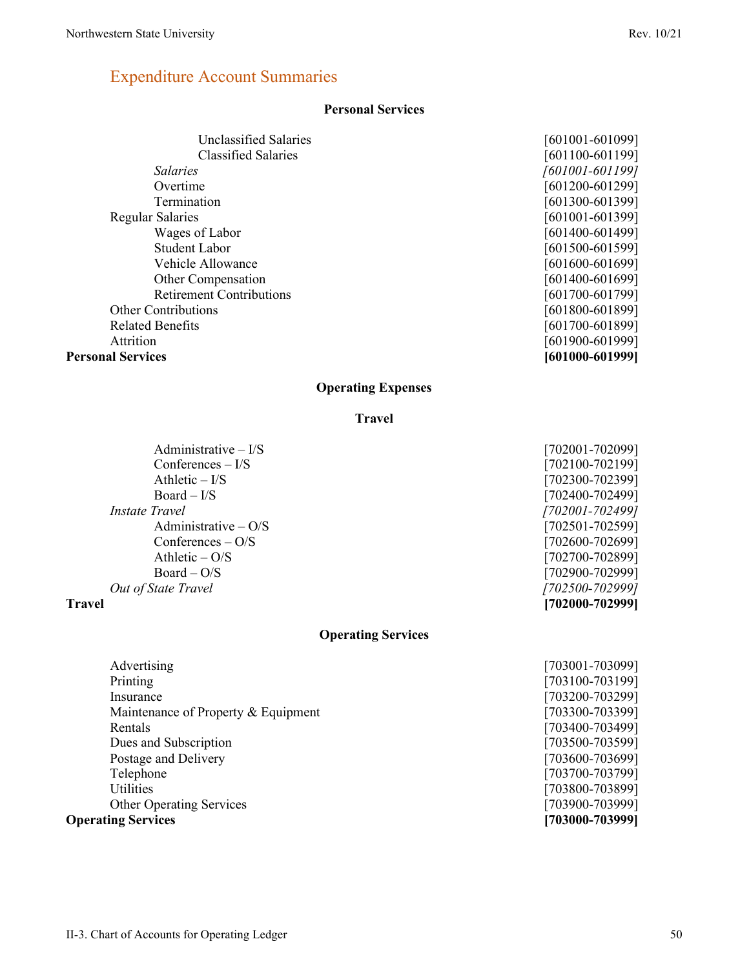# Expenditure Account Summaries

### **Personal Services**

| Unclassified Salaries           | [601001-601099] |
|---------------------------------|-----------------|
| Classified Salaries             | [601100-601199] |
| <i>Salaries</i>                 | [601001-601199] |
| Overtime                        | [601200-601299] |
| Termination                     | [601300-601399] |
| <b>Regular Salaries</b>         | [601001-601399] |
| Wages of Labor                  | [601400-601499] |
| Student Labor                   | [601500-601599] |
| Vehicle Allowance               | [601600-601699] |
| Other Compensation              | [601400-601699] |
| <b>Retirement Contributions</b> | [601700-601799] |
| <b>Other Contributions</b>      | [601800-601899] |
| <b>Related Benefits</b>         | [601700-601899] |
| Attrition                       | [601900-601999] |
| <b>Personal Services</b>        | [601000-601999] |

## **Operating Expenses**

### **Travel**

### **Operating Services**

| Advertising                         | [703001-703099] |
|-------------------------------------|-----------------|
| Printing                            | [703100-703199] |
| Insurance                           | [703200-703299] |
| Maintenance of Property & Equipment | [703300-703399] |
| Rentals                             | [703400-703499] |
| Dues and Subscription               | [703500-703599] |
| Postage and Delivery                | [703600-703699] |
| Telephone                           | [703700-703799] |
| Utilities                           | [703800-703899] |
| <b>Other Operating Services</b>     | [703900-703999] |
| <b>Operating Services</b>           | [703000-703999] |

| Travel                 | [702000-702999] |
|------------------------|-----------------|
| Out of State Travel    | [702500-702999] |
| $Board - O/S$          | [702900-702999] |
| Athletic $- O/S$       | [702700-702899] |
| Conferences $- O/S$    | [702600-702699] |
| Administrative $-$ O/S | [702501-702599] |
| <i>Instate Travel</i>  | [702001-702499] |
| $Board - I/S$          | [702400-702499] |
| Athletic $-$ I/S       | [702300-702399] |
| Conferences $-$ I/S    | [702100-702199] |
| Administrative $-1/S$  | 1702001-7020991 |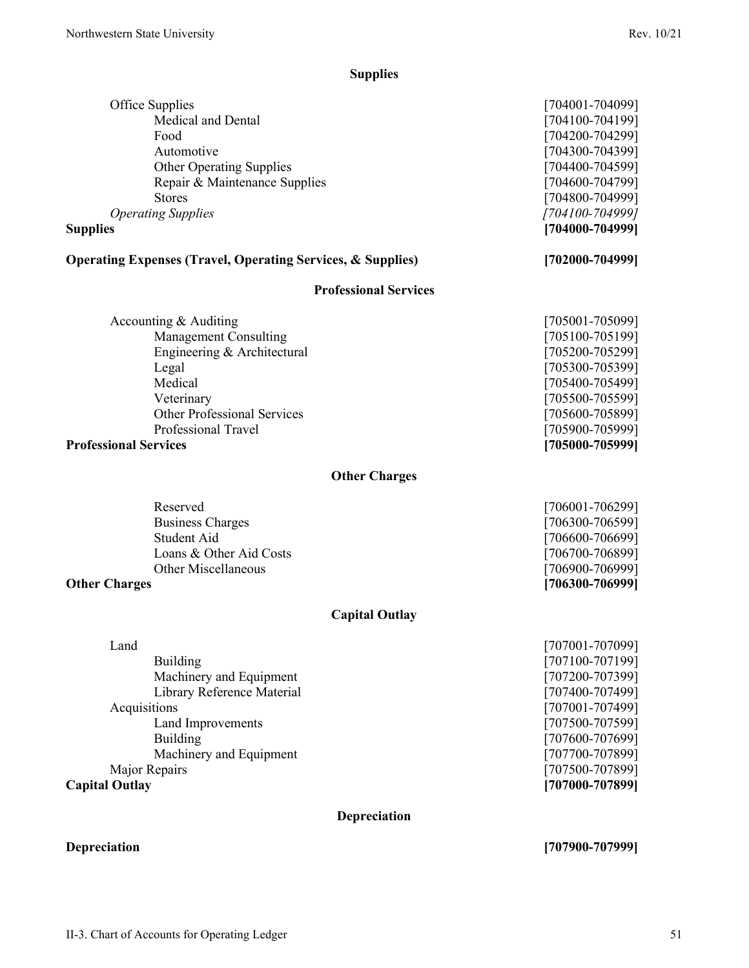# **Supplies**

| Office Supplies                                                        | [704001-704099] |
|------------------------------------------------------------------------|-----------------|
| Medical and Dental                                                     | [704100-704199] |
| Food                                                                   | [704200-704299] |
| Automotive                                                             | [704300-704399] |
| <b>Other Operating Supplies</b>                                        | [704400-704599] |
| Repair & Maintenance Supplies                                          | [704600-704799] |
| <b>Stores</b>                                                          | [704800-704999] |
| <b>Operating Supplies</b>                                              | [704100-704999] |
| <b>Supplies</b>                                                        | [704000-704999] |
|                                                                        |                 |
| <b>Operating Expenses (Travel, Operating Services, &amp; Supplies)</b> | [702000-704999] |
| <b>Professional Services</b>                                           |                 |
| Accounting & Auditing                                                  | [705001-705099] |
| Management Consulting                                                  | [705100-705199] |
| Engineering & Architectural                                            | [705200-705299] |
| Legal                                                                  | [705300-705399] |
| Medical                                                                | [705400-705499] |
| Veterinary                                                             | [705500-705599] |
| <b>Other Professional Services</b>                                     | [705600-705899] |
| Professional Travel                                                    | [705900-705999] |
| <b>Professional Services</b>                                           | [705000-705999] |
| <b>Other Charges</b>                                                   |                 |
| Reserved                                                               | [706001-706299] |
| <b>Business Charges</b>                                                | [706300-706599] |
| Student Aid                                                            | [706600-706699] |
| Loans & Other Aid Costs                                                | [706700-706899] |
| <b>Other Miscellaneous</b>                                             | [706900-706999] |
| <b>Other Charges</b>                                                   | [706300-706999] |
| <b>Capital Outlay</b>                                                  |                 |
| Land                                                                   | [707001-707099] |
| Building                                                               | [707100-707199] |

| <b>Capital Outlay</b>      | [707000-707899]     |
|----------------------------|---------------------|
| Major Repairs              | [707500-707899]     |
| Machinery and Equipment    | [707700-707899]     |
| Building                   | $[707600 - 707699]$ |
| Land Improvements          | [707500-707599]     |
| Acquisitions               | [707001-707499]     |
| Library Reference Material | [707400-707499]     |
| Machinery and Equipment    | [707200-707399]     |
| Building                   | 707100-7071991      |

# **Depreciation**

**Depreciation [707900-707999]**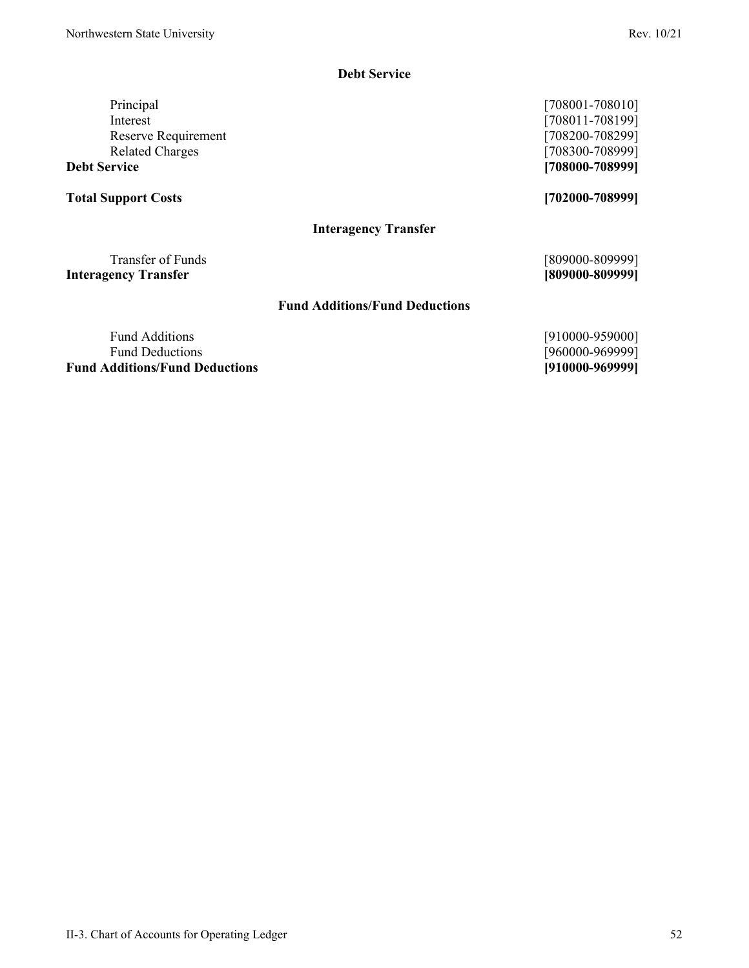### **Debt Service**

Principal [708001-708010] Interest [708011-708199] Reserve Requirement [708200-708299]<br>Related Charges [708300-708999]

# **Total Support Costs [702000-708999]**

**Interagency Transfer**

Transfer of Funds [809000-809999] **Interagency Transfer [809000-809999]**

### **Fund Additions/Fund Deductions**

Fund Additions [910000-959000] Fund Deductions [960000-969999]<br>dditions/Fund Deductions [9710000-969999] **Fund Additions/Fund Deductions** 

 $[708300 - 708999]$ **Debt Service [708000-708999]**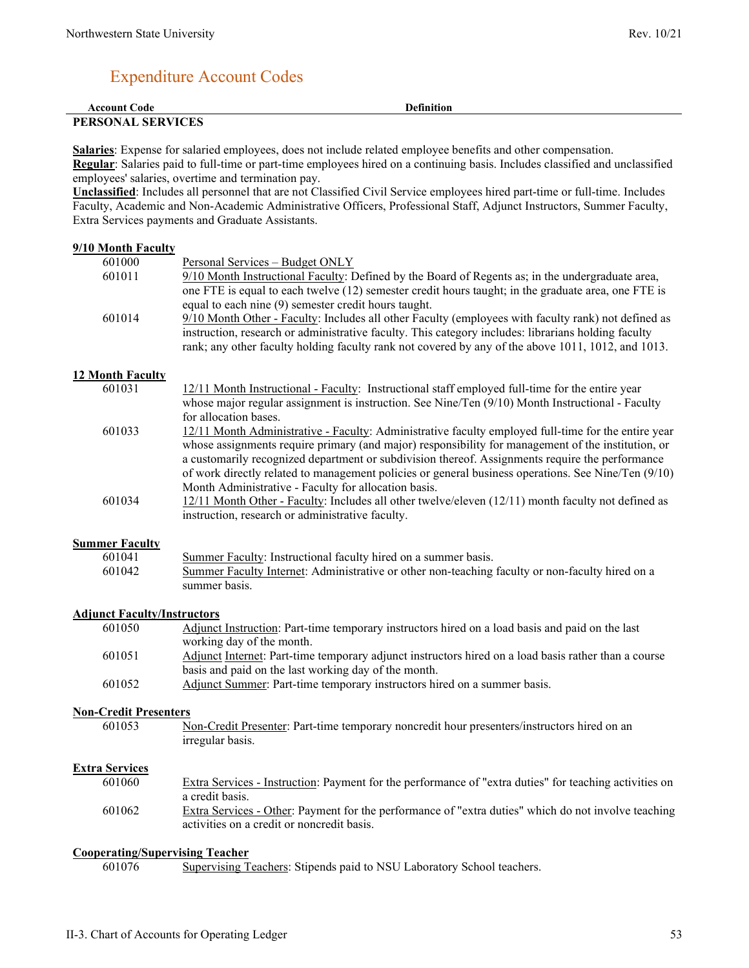# Expenditure Account Codes

| <b>Account Code</b>      | <b>Definition</b> |
|--------------------------|-------------------|
| <b>PERSONAL SERVICES</b> |                   |

**Salaries**: Expense for salaried employees, does not include related employee benefits and other compensation. **Regular**: Salaries paid to full-time or part-time employees hired on a continuing basis. Includes classified and unclassified employees' salaries, overtime and termination pay.

**Unclassified**: Includes all personnel that are not Classified Civil Service employees hired part-time or full-time. Includes Faculty, Academic and Non-Academic Administrative Officers, Professional Staff, Adjunct Instructors, Summer Faculty, Extra Services payments and Graduate Assistants.

### **9/10 Month Faculty**

| 601000                             | Personal Services - Budget ONLY                                                                                                                                                                                                                                                                                       |
|------------------------------------|-----------------------------------------------------------------------------------------------------------------------------------------------------------------------------------------------------------------------------------------------------------------------------------------------------------------------|
| 601011                             | 9/10 Month Instructional Faculty: Defined by the Board of Regents as; in the undergraduate area,<br>one FTE is equal to each twelve (12) semester credit hours taught; in the graduate area, one FTE is<br>equal to each nine (9) semester credit hours taught.                                                       |
| 601014                             | 9/10 Month Other - Faculty: Includes all other Faculty (employees with faculty rank) not defined as<br>instruction, research or administrative faculty. This category includes: librarians holding faculty<br>rank; any other faculty holding faculty rank not covered by any of the above 1011, 1012, and 1013.      |
| 12 Month Faculty                   |                                                                                                                                                                                                                                                                                                                       |
| 601031                             | 12/11 Month Instructional - Faculty: Instructional staff employed full-time for the entire year<br>whose major regular assignment is instruction. See Nine/Ten $(9/10)$ Month Instructional - Faculty<br>for allocation bases.                                                                                        |
| 601033                             | 12/11 Month Administrative - Faculty: Administrative faculty employed full-time for the entire year<br>whose assignments require primary (and major) responsibility for management of the institution, or<br>a customarily recognized department or subdivision thereof. Assignments require the performance          |
| 601034                             | of work directly related to management policies or general business operations. See Nine/Ten (9/10)<br>Month Administrative - Faculty for allocation basis.<br>12/11 Month Other - Faculty: Includes all other twelve/eleven (12/11) month faculty not defined as<br>instruction, research or administrative faculty. |
| <b>Summer Faculty</b>              |                                                                                                                                                                                                                                                                                                                       |
| 601041                             | Summer Faculty: Instructional faculty hired on a summer basis.                                                                                                                                                                                                                                                        |
| 601042                             | Summer Faculty Internet: Administrative or other non-teaching faculty or non-faculty hired on a<br>summer basis.                                                                                                                                                                                                      |
| <b>Adjunct Faculty/Instructors</b> |                                                                                                                                                                                                                                                                                                                       |
| 601050                             | Adjunct Instruction: Part-time temporary instructors hired on a load basis and paid on the last<br>working day of the month.                                                                                                                                                                                          |
| 601051                             | Adjunct Internet: Part-time temporary adjunct instructors hired on a load basis rather than a course<br>basis and paid on the last working day of the month.                                                                                                                                                          |
| 601052                             | Adjunct Summer: Part-time temporary instructors hired on a summer basis.                                                                                                                                                                                                                                              |
| <b>Non-Credit Presenters</b>       |                                                                                                                                                                                                                                                                                                                       |
| 601053                             | Non-Credit Presenter: Part-time temporary noncredit hour presenters/instructors hired on an<br>irregular basis.                                                                                                                                                                                                       |

### **Extra Services**

| 601060 | Extra Services - Instruction: Payment for the performance of "extra duties" for teaching activities on |
|--------|--------------------------------------------------------------------------------------------------------|
|        | a credit basis.                                                                                        |
| 601062 | Extra Services - Other: Payment for the performance of "extra duties" which do not involve teaching    |
|        | activities on a credit or noncredit basis.                                                             |

### **Cooperating/Supervising Teacher**

601076 Supervising Teachers: Stipends paid to NSU Laboratory School teachers.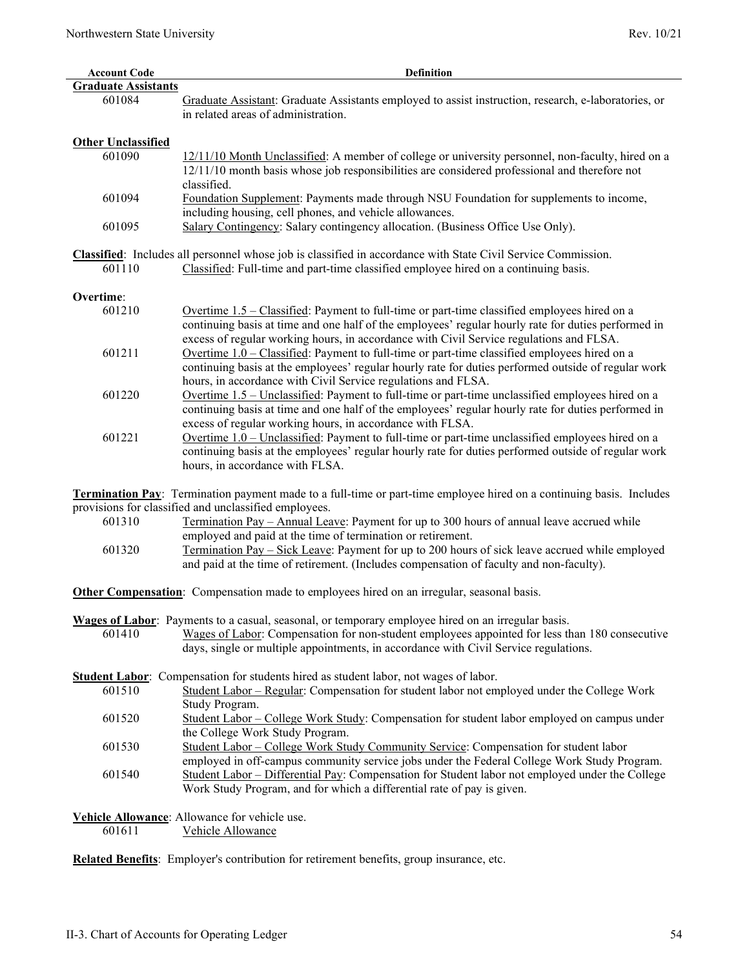| <b>Account Code</b>        | <b>Definition</b>                                                                                                                                                                                                                                                                                       |
|----------------------------|---------------------------------------------------------------------------------------------------------------------------------------------------------------------------------------------------------------------------------------------------------------------------------------------------------|
| <b>Graduate Assistants</b> |                                                                                                                                                                                                                                                                                                         |
| 601084                     | Graduate Assistant: Graduate Assistants employed to assist instruction, research, e-laboratories, or<br>in related areas of administration.                                                                                                                                                             |
| <b>Other Unclassified</b>  |                                                                                                                                                                                                                                                                                                         |
| 601090                     | 12/11/10 Month Unclassified: A member of college or university personnel, non-faculty, hired on a<br>12/11/10 month basis whose job responsibilities are considered professional and therefore not<br>classified.                                                                                       |
| 601094                     | Foundation Supplement: Payments made through NSU Foundation for supplements to income,<br>including housing, cell phones, and vehicle allowances.                                                                                                                                                       |
| 601095                     | Salary Contingency: Salary contingency allocation. (Business Office Use Only).                                                                                                                                                                                                                          |
|                            |                                                                                                                                                                                                                                                                                                         |
| 601110                     | Classified: Includes all personnel whose job is classified in accordance with State Civil Service Commission.<br>Classified: Full-time and part-time classified employee hired on a continuing basis.                                                                                                   |
| Overtime:                  |                                                                                                                                                                                                                                                                                                         |
| 601210                     |                                                                                                                                                                                                                                                                                                         |
|                            | Overtime 1.5 - Classified: Payment to full-time or part-time classified employees hired on a<br>continuing basis at time and one half of the employees' regular hourly rate for duties performed in<br>excess of regular working hours, in accordance with Civil Service regulations and FLSA.          |
| 601211                     | Overtime 1.0 – Classified: Payment to full-time or part-time classified employees hired on a<br>continuing basis at the employees' regular hourly rate for duties performed outside of regular work<br>hours, in accordance with Civil Service regulations and FLSA.                                    |
| 601220                     | Overtime 1.5 – Unclassified: Payment to full-time or part-time unclassified employees hired on a<br>continuing basis at time and one half of the employees' regular hourly rate for duties performed in                                                                                                 |
| 601221                     | excess of regular working hours, in accordance with FLSA.<br>Overtime 1.0 - Unclassified: Payment to full-time or part-time unclassified employees hired on a<br>continuing basis at the employees' regular hourly rate for duties performed outside of regular work<br>hours, in accordance with FLSA. |
|                            | <b>Termination Pay</b> : Termination payment made to a full-time or part-time employee hired on a continuing basis. Includes                                                                                                                                                                            |
|                            | provisions for classified and unclassified employees.                                                                                                                                                                                                                                                   |
| 601310                     | Termination Pay - Annual Leave: Payment for up to 300 hours of annual leave accrued while                                                                                                                                                                                                               |
| 601320                     | employed and paid at the time of termination or retirement.<br>Termination Pay - Sick Leave: Payment for up to 200 hours of sick leave accrued while employed                                                                                                                                           |
|                            | and paid at the time of retirement. (Includes compensation of faculty and non-faculty).                                                                                                                                                                                                                 |
|                            | <b>Other Compensation:</b> Compensation made to employees hired on an irregular, seasonal basis.                                                                                                                                                                                                        |
|                            | Wages of Labor: Payments to a casual, seasonal, or temporary employee hired on an irregular basis.                                                                                                                                                                                                      |
| 601410                     | Wages of Labor: Compensation for non-student employees appointed for less than 180 consecutive                                                                                                                                                                                                          |
|                            | days, single or multiple appointments, in accordance with Civil Service regulations.                                                                                                                                                                                                                    |
|                            |                                                                                                                                                                                                                                                                                                         |
|                            | Student Labor: Compensation for students hired as student labor, not wages of labor.                                                                                                                                                                                                                    |
| 601510                     | Student Labor - Regular: Compensation for student labor not employed under the College Work                                                                                                                                                                                                             |
|                            | Study Program.                                                                                                                                                                                                                                                                                          |
| 601520                     | Student Labor – College Work Study: Compensation for student labor employed on campus under<br>the College Work Study Program.                                                                                                                                                                          |
| 601530                     | Student Labor – College Work Study Community Service: Compensation for student labor<br>employed in off-campus community service jobs under the Federal College Work Study Program.                                                                                                                     |
| 601540                     | Student Labor – Differential Pay: Compensation for Student labor not employed under the College<br>Work Study Program, and for which a differential rate of pay is given.                                                                                                                               |
|                            |                                                                                                                                                                                                                                                                                                         |
| 601611                     | Vehicle Allowance: Allowance for vehicle use.<br>Vehicle Allowance                                                                                                                                                                                                                                      |
|                            | Related Benefits: Employer's contribution for retirement benefits, group insurance, etc.                                                                                                                                                                                                                |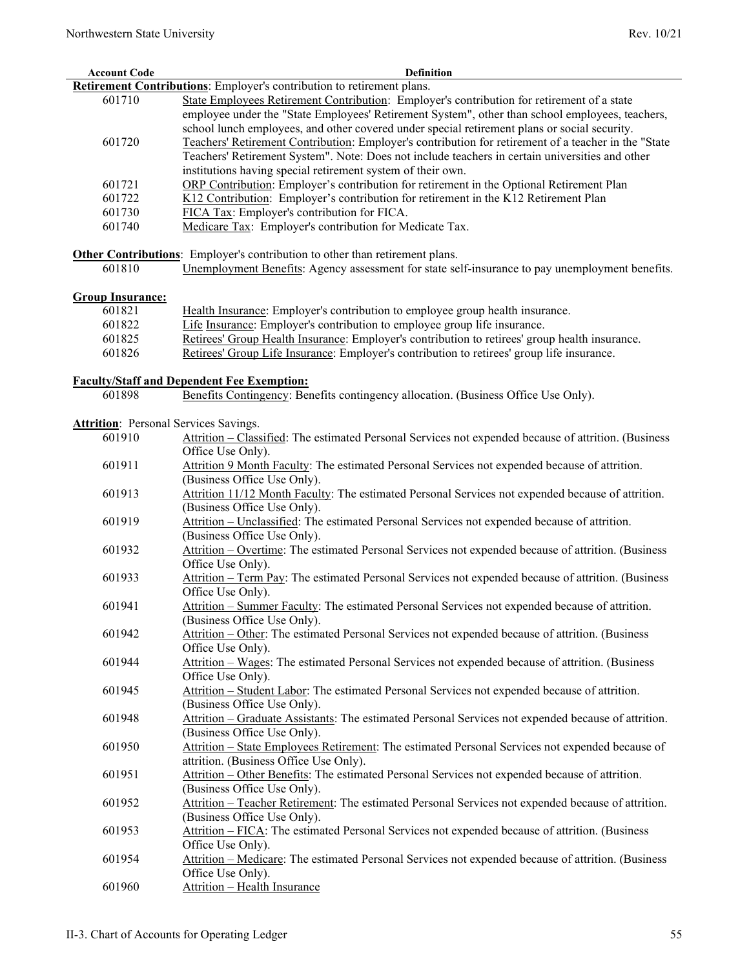| <b>Account Code</b>                          | Definition                                                                                                                                                                                                                                                                                    |
|----------------------------------------------|-----------------------------------------------------------------------------------------------------------------------------------------------------------------------------------------------------------------------------------------------------------------------------------------------|
|                                              | Retirement Contributions: Employer's contribution to retirement plans.                                                                                                                                                                                                                        |
| 601710                                       | State Employees Retirement Contribution: Employer's contribution for retirement of a state<br>employee under the "State Employees' Retirement System", other than school employees, teachers,<br>school lunch employees, and other covered under special retirement plans or social security. |
| 601720                                       | Teachers' Retirement Contribution: Employer's contribution for retirement of a teacher in the "State<br>Teachers' Retirement System". Note: Does not include teachers in certain universities and other<br>institutions having special retirement system of their own.                        |
| 601721                                       | ORP Contribution: Employer's contribution for retirement in the Optional Retirement Plan                                                                                                                                                                                                      |
| 601722                                       | K12 Contribution: Employer's contribution for retirement in the K12 Retirement Plan                                                                                                                                                                                                           |
| 601730                                       | FICA Tax: Employer's contribution for FICA.                                                                                                                                                                                                                                                   |
| 601740                                       | Medicare Tax: Employer's contribution for Medicate Tax.                                                                                                                                                                                                                                       |
|                                              | Other Contributions: Employer's contribution to other than retirement plans.                                                                                                                                                                                                                  |
| 601810                                       | Unemployment Benefits: Agency assessment for state self-insurance to pay unemployment benefits.                                                                                                                                                                                               |
|                                              |                                                                                                                                                                                                                                                                                               |
| <b>Group Insurance:</b>                      |                                                                                                                                                                                                                                                                                               |
| 601821                                       | Health Insurance: Employer's contribution to employee group health insurance.                                                                                                                                                                                                                 |
| 601822                                       | Life Insurance: Employer's contribution to employee group life insurance.                                                                                                                                                                                                                     |
| 601825                                       | Retirees' Group Health Insurance: Employer's contribution to retirees' group health insurance.                                                                                                                                                                                                |
| 601826                                       | Retirees' Group Life Insurance: Employer's contribution to retirees' group life insurance.                                                                                                                                                                                                    |
|                                              | <b>Faculty/Staff and Dependent Fee Exemption:</b>                                                                                                                                                                                                                                             |
| 601898                                       | Benefits Contingency: Benefits contingency allocation. (Business Office Use Only).                                                                                                                                                                                                            |
|                                              |                                                                                                                                                                                                                                                                                               |
| <b>Attrition:</b> Personal Services Savings. |                                                                                                                                                                                                                                                                                               |
| 601910                                       | Attrition – Classified: The estimated Personal Services not expended because of attrition. (Business                                                                                                                                                                                          |
|                                              | Office Use Only).                                                                                                                                                                                                                                                                             |
| 601911                                       | Attrition 9 Month Faculty: The estimated Personal Services not expended because of attrition.<br>(Business Office Use Only).                                                                                                                                                                  |
| 601913                                       | Attrition 11/12 Month Faculty: The estimated Personal Services not expended because of attrition.<br>(Business Office Use Only).                                                                                                                                                              |
| 601919                                       | Attrition - Unclassified: The estimated Personal Services not expended because of attrition.<br>(Business Office Use Only).                                                                                                                                                                   |
| 601932                                       | Attrition – Overtime: The estimated Personal Services not expended because of attrition. (Business<br>Office Use Only).                                                                                                                                                                       |
| 601933                                       | Attrition – Term Pay: The estimated Personal Services not expended because of attrition. (Business<br>Office Use Only).                                                                                                                                                                       |
| 601941                                       | Attrition - Summer Faculty: The estimated Personal Services not expended because of attrition.<br>(Business Office Use Only).                                                                                                                                                                 |
| 601942                                       | Attrition – Other: The estimated Personal Services not expended because of attrition. (Business<br>Office Use Only).                                                                                                                                                                          |
| 601944                                       | Attrition – Wages: The estimated Personal Services not expended because of attrition. (Business<br>Office Use Only).                                                                                                                                                                          |
| 601945                                       | Attrition - Student Labor: The estimated Personal Services not expended because of attrition.<br>(Business Office Use Only).                                                                                                                                                                  |
| 601948                                       | Attrition - Graduate Assistants: The estimated Personal Services not expended because of attrition.<br>(Business Office Use Only).                                                                                                                                                            |
| 601950                                       | Attrition - State Employees Retirement: The estimated Personal Services not expended because of<br>attrition. (Business Office Use Only).                                                                                                                                                     |
| 601951                                       | Attrition - Other Benefits: The estimated Personal Services not expended because of attrition.<br>(Business Office Use Only).                                                                                                                                                                 |
| 601952                                       | Attrition - Teacher Retirement: The estimated Personal Services not expended because of attrition.<br>(Business Office Use Only).                                                                                                                                                             |
| 601953                                       | Attrition – FICA: The estimated Personal Services not expended because of attrition. (Business                                                                                                                                                                                                |
| 601954                                       | Office Use Only).<br>Attrition - Medicare: The estimated Personal Services not expended because of attrition. (Business                                                                                                                                                                       |
| 601960                                       | Office Use Only).<br>Attrition - Health Insurance                                                                                                                                                                                                                                             |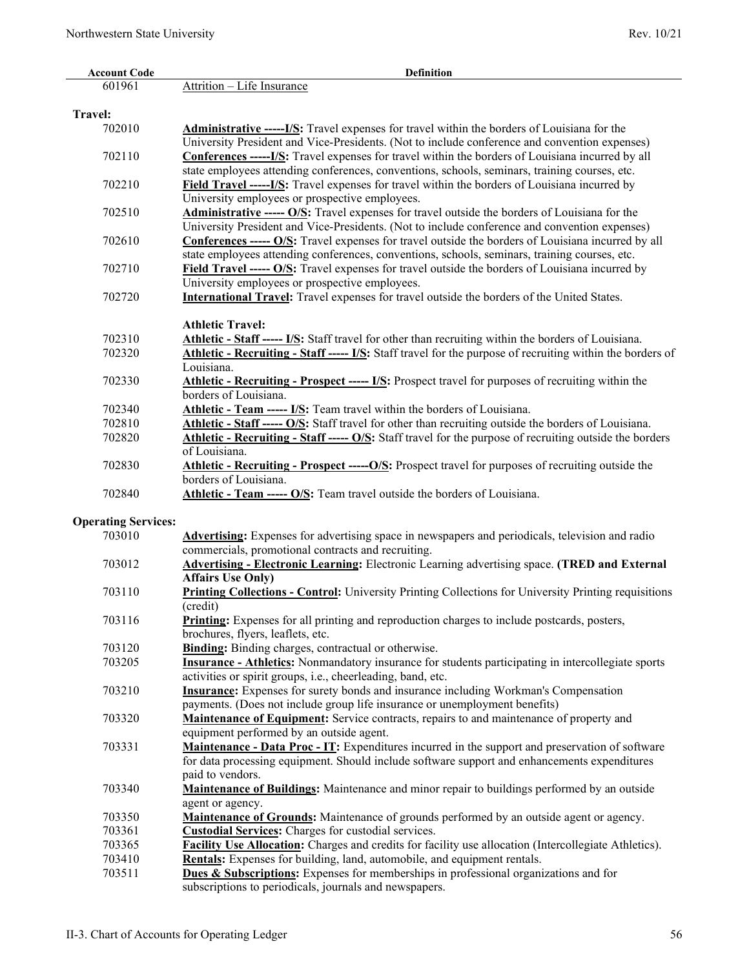| <b>Account Code</b>        | <b>Definition</b>                                                                                                   |
|----------------------------|---------------------------------------------------------------------------------------------------------------------|
| 601961                     | Attrition - Life Insurance                                                                                          |
|                            |                                                                                                                     |
| <b>Travel:</b>             |                                                                                                                     |
| 702010                     | <b>Administrative --------------------------</b> Travel expenses for travel within the borders of Louisiana for the |
|                            | University President and Vice-Presidents. (Not to include conference and convention expenses)                       |
| 702110                     | <b>Conferences ------ I/S:</b> Travel expenses for travel within the borders of Louisiana incurred by all           |
|                            | state employees attending conferences, conventions, schools, seminars, training courses, etc.                       |
| 702210                     | Field Travel -----I/S: Travel expenses for travel within the borders of Louisiana incurred by                       |
|                            | University employees or prospective employees.                                                                      |
| 702510                     | Administrative ----- O/S: Travel expenses for travel outside the borders of Louisiana for the                       |
|                            | University President and Vice-Presidents. (Not to include conference and convention expenses)                       |
| 702610                     | Conferences ----- O/S: Travel expenses for travel outside the borders of Louisiana incurred by all                  |
|                            | state employees attending conferences, conventions, schools, seminars, training courses, etc.                       |
| 702710                     | Field Travel ----- O/S: Travel expenses for travel outside the borders of Louisiana incurred by                     |
|                            | University employees or prospective employees.                                                                      |
| 702720                     | <b>International Travel:</b> Travel expenses for travel outside the borders of the United States.                   |
|                            |                                                                                                                     |
|                            | <b>Athletic Travel:</b>                                                                                             |
| 702310                     | Athletic - Staff ----- I/S: Staff travel for other than recruiting within the borders of Louisiana.                 |
| 702320                     | Athletic - Recruiting - Staff ----- I/S: Staff travel for the purpose of recruiting within the borders of           |
|                            | Louisiana.                                                                                                          |
| 702330                     | <b>Athletic - Recruiting - Prospect ----- I/S:</b> Prospect travel for purposes of recruiting within the            |
|                            | borders of Louisiana.                                                                                               |
| 702340                     | <b>Athletic - Team ----- I/S:</b> Team travel within the borders of Louisiana.                                      |
| 702810                     | Athletic - Staff ----- O/S: Staff travel for other than recruiting outside the borders of Louisiana.                |
| 702820                     | Athletic - Recruiting - Staff ----- O/S: Staff travel for the purpose of recruiting outside the borders             |
|                            | of Louisiana.                                                                                                       |
| 702830                     | Athletic - Recruiting - Prospect ----- O/S: Prospect travel for purposes of recruiting outside the                  |
|                            | borders of Louisiana.                                                                                               |
| 702840                     | Athletic - Team ----- O/S: Team travel outside the borders of Louisiana.                                            |
|                            |                                                                                                                     |
| <b>Operating Services:</b> |                                                                                                                     |
| 703010                     | Advertising: Expenses for advertising space in newspapers and periodicals, television and radio                     |
|                            | commercials, promotional contracts and recruiting.                                                                  |
| 703012                     | <b>Advertising - Electronic Learning:</b> Electronic Learning advertising space. (TRED and External                 |
|                            | <b>Affairs Use Only)</b>                                                                                            |
| 703110                     | <b>Printing Collections - Control:</b> University Printing Collections for University Printing requisitions         |
|                            | (credit)                                                                                                            |
| 703116                     | <b>Printing:</b> Expenses for all printing and reproduction charges to include postcards, posters,                  |
|                            | brochures, flyers, leaflets, etc.                                                                                   |
| 703120                     | Binding: Binding charges, contractual or otherwise.                                                                 |
| 703205                     | <b>Insurance - Athletics:</b> Nonmandatory insurance for students participating in intercollegiate sports           |
|                            | activities or spirit groups, i.e., cheerleading, band, etc.                                                         |
| 703210                     | Insurance: Expenses for surety bonds and insurance including Workman's Compensation                                 |
|                            | payments. (Does not include group life insurance or unemployment benefits)                                          |
| 703320                     | Maintenance of Equipment: Service contracts, repairs to and maintenance of property and                             |
|                            | equipment performed by an outside agent.                                                                            |
| 703331                     | Maintenance - Data Proc - IT: Expenditures incurred in the support and preservation of software                     |
|                            | for data processing equipment. Should include software support and enhancements expenditures                        |
|                            | paid to vendors.                                                                                                    |
| 703340                     | Maintenance of Buildings: Maintenance and minor repair to buildings performed by an outside                         |
|                            | agent or agency.                                                                                                    |
| 703350                     | <b>Maintenance of Grounds:</b> Maintenance of grounds performed by an outside agent or agency.                      |
| 703361                     | <b>Custodial Services:</b> Charges for custodial services.                                                          |
| 703365                     | Facility Use Allocation: Charges and credits for facility use allocation (Intercollegiate Athletics).               |
| 703410                     | Rentals: Expenses for building, land, automobile, and equipment rentals.                                            |
| 703511                     | <b>Dues &amp; Subscriptions:</b> Expenses for memberships in professional organizations and for                     |
|                            | subscriptions to periodicals, journals and newspapers.                                                              |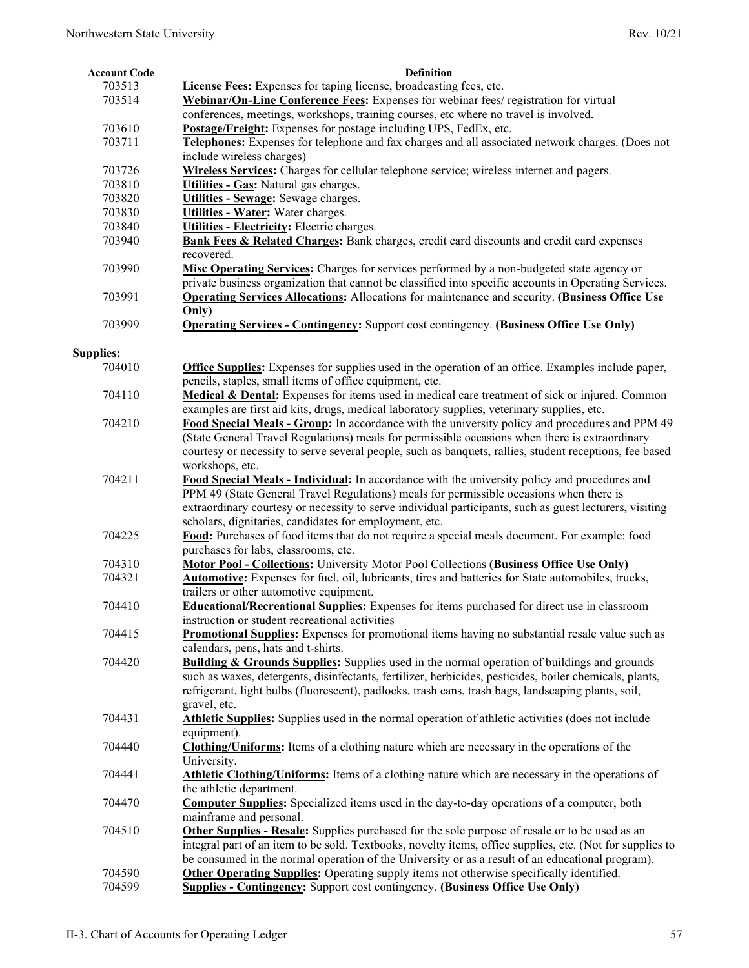| <b>Account Code</b> | <b>Definition</b>                                                                                         |
|---------------------|-----------------------------------------------------------------------------------------------------------|
| 703513              | License Fees: Expenses for taping license, broadcasting fees, etc.                                        |
| 703514              | Webinar/On-Line Conference Fees: Expenses for webinar fees/ registration for virtual                      |
|                     | conferences, meetings, workshops, training courses, etc where no travel is involved.                      |
| 703610              | <b>Postage/Freight:</b> Expenses for postage including UPS, FedEx, etc.                                   |
| 703711              | Telephones: Expenses for telephone and fax charges and all associated network charges. (Does not          |
|                     | include wireless charges)                                                                                 |
| 703726              | Wireless Services: Charges for cellular telephone service; wireless internet and pagers.                  |
| 703810              | Utilities - Gas: Natural gas charges.                                                                     |
|                     |                                                                                                           |
| 703820              | Utilities - Sewage: Sewage charges.                                                                       |
| 703830              | Utilities - Water: Water charges.                                                                         |
| 703840              | Utilities - Electricity: Electric charges.                                                                |
| 703940              | Bank Fees & Related Charges: Bank charges, credit card discounts and credit card expenses<br>recovered.   |
| 703990              | Misc Operating Services: Charges for services performed by a non-budgeted state agency or                 |
|                     | private business organization that cannot be classified into specific accounts in Operating Services.     |
| 703991              | <b>Operating Services Allocations:</b> Allocations for maintenance and security. (Business Office Use     |
|                     | Only)                                                                                                     |
| 703999              |                                                                                                           |
|                     | <b>Operating Services - Contingency:</b> Support cost contingency. (Business Office Use Only)             |
|                     |                                                                                                           |
| <b>Supplies:</b>    |                                                                                                           |
| 704010              | <b>Office Supplies:</b> Expenses for supplies used in the operation of an office. Examples include paper, |
|                     | pencils, staples, small items of office equipment, etc.                                                   |
| 704110              | Medical & Dental: Expenses for items used in medical care treatment of sick or injured. Common            |
|                     | examples are first aid kits, drugs, medical laboratory supplies, veterinary supplies, etc.                |
| 704210              | Food Special Meals - Group: In accordance with the university policy and procedures and PPM 49            |
|                     | (State General Travel Regulations) meals for permissible occasions when there is extraordinary            |
|                     | courtesy or necessity to serve several people, such as banquets, rallies, student receptions, fee based   |
|                     | workshops, etc.                                                                                           |
| 704211              | Food Special Meals - Individual: In accordance with the university policy and procedures and              |
|                     | PPM 49 (State General Travel Regulations) meals for permissible occasions when there is                   |
|                     | extraordinary courtesy or necessity to serve individual participants, such as guest lecturers, visiting   |
|                     | scholars, dignitaries, candidates for employment, etc.                                                    |
| 704225              | Food: Purchases of food items that do not require a special meals document. For example: food             |
|                     | purchases for labs, classrooms, etc.                                                                      |
| 704310              | <b>Motor Pool - Collections:</b> University Motor Pool Collections (Business Office Use Only)             |
|                     |                                                                                                           |
| 704321              | Automotive: Expenses for fuel, oil, lubricants, tires and batteries for State automobiles, trucks,        |
|                     | trailers or other automotive equipment.                                                                   |
| 704410              | <b>Educational/Recreational Supplies:</b> Expenses for items purchased for direct use in classroom        |
|                     | instruction or student recreational activities                                                            |
| 704415              | Promotional Supplies: Expenses for promotional items having no substantial resale value such as           |
|                     | calendars, pens, hats and t-shirts.                                                                       |
| 704420              | <b>Building &amp; Grounds Supplies:</b> Supplies used in the normal operation of buildings and grounds    |
|                     | such as waxes, detergents, disinfectants, fertilizer, herbicides, pesticides, boiler chemicals, plants,   |
|                     | refrigerant, light bulbs (fluorescent), padlocks, trash cans, trash bags, landscaping plants, soil,       |
|                     | gravel, etc.                                                                                              |
| 704431              | Athletic Supplies: Supplies used in the normal operation of athletic activities (does not include         |
|                     | equipment).                                                                                               |
| 704440              | <b>Clothing/Uniforms:</b> Items of a clothing nature which are necessary in the operations of the         |
|                     | University.                                                                                               |
| 704441              | Athletic Clothing/Uniforms: Items of a clothing nature which are necessary in the operations of           |
|                     | the athletic department.                                                                                  |
|                     |                                                                                                           |
| 704470              | <b>Computer Supplies:</b> Specialized items used in the day-to-day operations of a computer, both         |
|                     | mainframe and personal.                                                                                   |
| 704510              | <b>Other Supplies - Resale:</b> Supplies purchased for the sole purpose of resale or to be used as an     |
|                     | integral part of an item to be sold. Textbooks, novelty items, office supplies, etc. (Not for supplies to |
|                     | be consumed in the normal operation of the University or as a result of an educational program).          |
| 704590              | <b>Other Operating Supplies:</b> Operating supply items not otherwise specifically identified.            |
| 704599              | <b>Supplies - Contingency:</b> Support cost contingency. (Business Office Use Only)                       |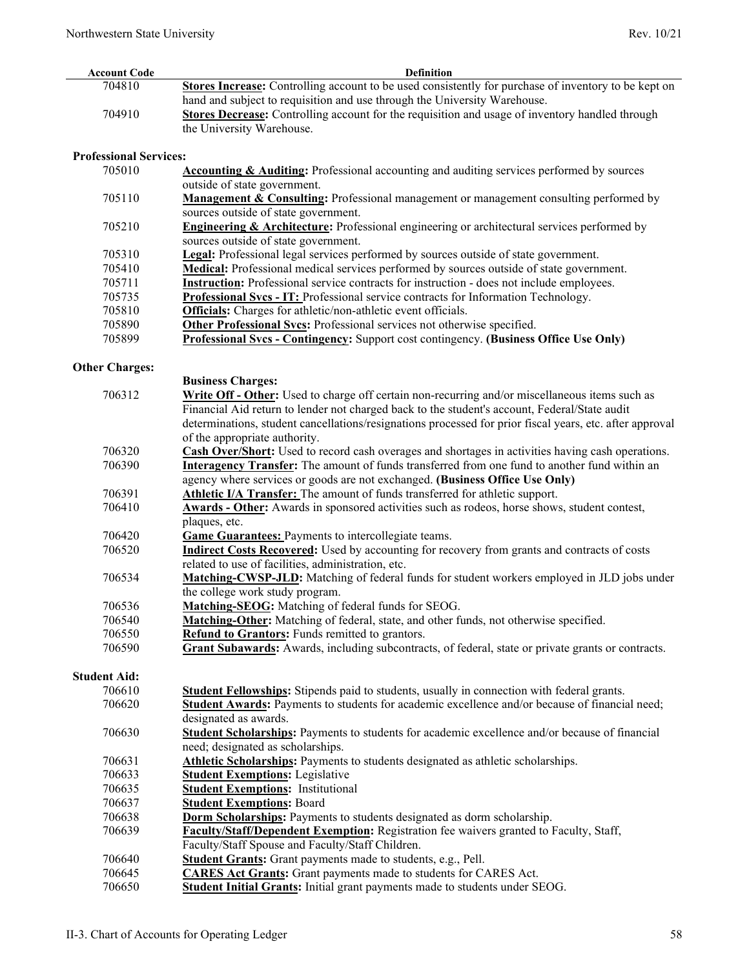| <b>Account Code</b>           | <b>Definition</b>                                                                                                                                                 |  |
|-------------------------------|-------------------------------------------------------------------------------------------------------------------------------------------------------------------|--|
| 704810                        | Stores Increase: Controlling account to be used consistently for purchase of inventory to be kept on                                                              |  |
|                               | hand and subject to requisition and use through the University Warehouse.                                                                                         |  |
| 704910                        | <b>Stores Decrease:</b> Controlling account for the requisition and usage of inventory handled through                                                            |  |
|                               | the University Warehouse.                                                                                                                                         |  |
|                               |                                                                                                                                                                   |  |
| <b>Professional Services:</b> |                                                                                                                                                                   |  |
| 705010                        | <b>Accounting &amp; Auditing:</b> Professional accounting and auditing services performed by sources                                                              |  |
|                               | outside of state government.                                                                                                                                      |  |
| 705110                        | <b>Management &amp; Consulting:</b> Professional management or management consulting performed by                                                                 |  |
|                               | sources outside of state government.                                                                                                                              |  |
| 705210                        | <b>Engineering &amp; Architecture:</b> Professional engineering or architectural services performed by                                                            |  |
|                               | sources outside of state government.                                                                                                                              |  |
| 705310                        | Legal: Professional legal services performed by sources outside of state government.                                                                              |  |
| 705410                        | Medical: Professional medical services performed by sources outside of state government.                                                                          |  |
| 705711                        | <b>Instruction:</b> Professional service contracts for instruction - does not include employees.                                                                  |  |
| 705735                        |                                                                                                                                                                   |  |
| 705810                        | Professional Svcs - IT: Professional service contracts for Information Technology.                                                                                |  |
| 705890                        | <b>Officials:</b> Charges for athletic/non-athletic event officials.<br>Other Professional Svcs: Professional services not otherwise specified.                   |  |
| 705899                        |                                                                                                                                                                   |  |
|                               | Professional Svcs - Contingency: Support cost contingency. (Business Office Use Only)                                                                             |  |
| <b>Other Charges:</b>         |                                                                                                                                                                   |  |
|                               | <b>Business Charges:</b>                                                                                                                                          |  |
| 706312                        | Write Off - Other: Used to charge off certain non-recurring and/or miscellaneous items such as                                                                    |  |
|                               | Financial Aid return to lender not charged back to the student's account, Federal/State audit                                                                     |  |
|                               | determinations, student cancellations/resignations processed for prior fiscal years, etc. after approval                                                          |  |
|                               | of the appropriate authority.                                                                                                                                     |  |
| 706320                        | <b>Cash Over/Short:</b> Used to record cash overages and shortages in activities having cash operations.                                                          |  |
| 706390                        | <b>Interagency Transfer:</b> The amount of funds transferred from one fund to another fund within an                                                              |  |
|                               | agency where services or goods are not exchanged. (Business Office Use Only)                                                                                      |  |
| 706391                        | Athletic I/A Transfer: The amount of funds transferred for athletic support.                                                                                      |  |
| 706410                        |                                                                                                                                                                   |  |
|                               | Awards - Other: Awards in sponsored activities such as rodeos, horse shows, student contest,                                                                      |  |
| 706420                        | plaques, etc.                                                                                                                                                     |  |
| 706520                        | <b>Game Guarantees:</b> Payments to intercollegiate teams.<br><b>Indirect Costs Recovered:</b> Used by accounting for recovery from grants and contracts of costs |  |
|                               | related to use of facilities, administration, etc.                                                                                                                |  |
|                               |                                                                                                                                                                   |  |
| 706534                        | Matching-CWSP-JLD: Matching of federal funds for student workers employed in JLD jobs under                                                                       |  |
|                               | the college work study program.                                                                                                                                   |  |
| 706536                        | Matching-SEOG: Matching of federal funds for SEOG.                                                                                                                |  |
| 706540                        | Matching-Other: Matching of federal, state, and other funds, not otherwise specified.                                                                             |  |
| 706550                        | Refund to Grantors: Funds remitted to grantors.                                                                                                                   |  |
| 706590                        | Grant Subawards: Awards, including subcontracts, of federal, state or private grants or contracts.                                                                |  |
| <b>Student Aid:</b>           |                                                                                                                                                                   |  |
| 706610                        | <b>Student Fellowships:</b> Stipends paid to students, usually in connection with federal grants.                                                                 |  |
| 706620                        | Student Awards: Payments to students for academic excellence and/or because of financial need;                                                                    |  |
|                               | designated as awards.                                                                                                                                             |  |
| 706630                        | Student Scholarships: Payments to students for academic excellence and/or because of financial                                                                    |  |
|                               | need; designated as scholarships.                                                                                                                                 |  |
| 706631                        | Athletic Scholarships: Payments to students designated as athletic scholarships.                                                                                  |  |
| 706633                        |                                                                                                                                                                   |  |
| 706635                        | <b>Student Exemptions: Legislative</b><br><b>Student Exemptions: Institutional</b>                                                                                |  |
|                               |                                                                                                                                                                   |  |
| 706637                        | <b>Student Exemptions: Board</b>                                                                                                                                  |  |
| 706638                        | <b>Dorm Scholarships:</b> Payments to students designated as dorm scholarship.                                                                                    |  |
| 706639                        | Faculty/Staff/Dependent Exemption: Registration fee waivers granted to Faculty, Staff,                                                                            |  |
|                               | Faculty/Staff Spouse and Faculty/Staff Children.                                                                                                                  |  |
| 706640                        | <b>Student Grants:</b> Grant payments made to students, e.g., Pell.                                                                                               |  |
| 706645                        | <b>CARES Act Grants:</b> Grant payments made to students for CARES Act.                                                                                           |  |
| 706650                        | Student Initial Grants: Initial grant payments made to students under SEOG.                                                                                       |  |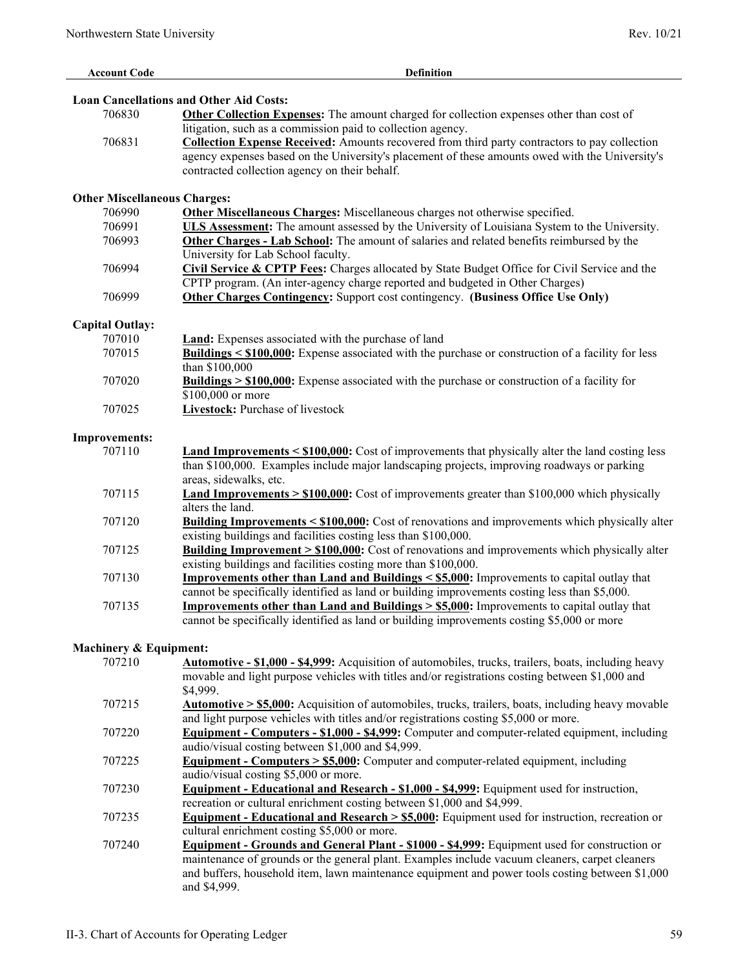| <b>Account Code</b>                 | <b>Definition</b>                                                                                                                                                                                    |
|-------------------------------------|------------------------------------------------------------------------------------------------------------------------------------------------------------------------------------------------------|
|                                     |                                                                                                                                                                                                      |
|                                     | <b>Loan Cancellations and Other Aid Costs:</b>                                                                                                                                                       |
| 706830                              | Other Collection Expenses: The amount charged for collection expenses other than cost of                                                                                                             |
|                                     | litigation, such as a commission paid to collection agency.                                                                                                                                          |
| 706831                              | <b>Collection Expense Received:</b> Amounts recovered from third party contractors to pay collection                                                                                                 |
|                                     | agency expenses based on the University's placement of these amounts owed with the University's                                                                                                      |
|                                     | contracted collection agency on their behalf.                                                                                                                                                        |
|                                     |                                                                                                                                                                                                      |
| <b>Other Miscellaneous Charges:</b> |                                                                                                                                                                                                      |
| 706990                              | Other Miscellaneous Charges: Miscellaneous charges not otherwise specified.                                                                                                                          |
| 706991                              | ULS Assessment: The amount assessed by the University of Louisiana System to the University.                                                                                                         |
| 706993                              | Other Charges - Lab School: The amount of salaries and related benefits reimbursed by the                                                                                                            |
|                                     | University for Lab School faculty.                                                                                                                                                                   |
| 706994                              | Civil Service & CPTP Fees: Charges allocated by State Budget Office for Civil Service and the                                                                                                        |
|                                     | CPTP program. (An inter-agency charge reported and budgeted in Other Charges)                                                                                                                        |
| 706999                              |                                                                                                                                                                                                      |
|                                     | <b>Other Charges Contingency:</b> Support cost contingency. (Business Office Use Only)                                                                                                               |
| <b>Capital Outlay:</b>              |                                                                                                                                                                                                      |
| 707010                              | <b>Land:</b> Expenses associated with the purchase of land                                                                                                                                           |
| 707015                              | Buildings < \$100,000: Expense associated with the purchase or construction of a facility for less                                                                                                   |
|                                     | than \$100,000                                                                                                                                                                                       |
| 707020                              | <b>Buildings &gt; \$100,000:</b> Expense associated with the purchase or construction of a facility for                                                                                              |
|                                     | \$100,000 or more                                                                                                                                                                                    |
|                                     | Livestock: Purchase of livestock                                                                                                                                                                     |
| 707025                              |                                                                                                                                                                                                      |
|                                     |                                                                                                                                                                                                      |
| <b>Improvements:</b><br>707110      |                                                                                                                                                                                                      |
|                                     | <b>Land Improvements <math>\leq</math> \$100,000:</b> Cost of improvements that physically alter the land costing less                                                                               |
|                                     | than \$100,000. Examples include major landscaping projects, improving roadways or parking                                                                                                           |
|                                     | areas, sidewalks, etc.                                                                                                                                                                               |
| 707115                              | <b>Land Improvements &gt; <math>\$100,000</math>:</b> Cost of improvements greater than \$100,000 which physically<br>alters the land.                                                               |
|                                     |                                                                                                                                                                                                      |
| 707120                              | <b>Building Improvements &lt; \$100,000:</b> Cost of renovations and improvements which physically alter<br>existing buildings and facilities costing less than \$100,000.                           |
| 707125                              |                                                                                                                                                                                                      |
|                                     | <b>Building Improvement &gt; \$100,000:</b> Cost of renovations and improvements which physically alter<br>existing buildings and facilities costing more than \$100,000.                            |
|                                     |                                                                                                                                                                                                      |
| 707130                              | Improvements other than Land and Buildings < \$5,000: Improvements to capital outlay that                                                                                                            |
|                                     | cannot be specifically identified as land or building improvements costing less than \$5,000.                                                                                                        |
| 707135                              | <b>Improvements other than Land and Buildings &gt; <math>\$5,000</math>:</b> Improvements to capital outlay that                                                                                     |
|                                     | cannot be specifically identified as land or building improvements costing \$5,000 or more                                                                                                           |
| <b>Machinery &amp; Equipment:</b>   |                                                                                                                                                                                                      |
| 707210                              | <b>Automotive - \$1,000 - \$4,999:</b> Acquisition of automobiles, trucks, trailers, boats, including heavy                                                                                          |
|                                     | movable and light purpose vehicles with titles and/or registrations costing between \$1,000 and                                                                                                      |
|                                     | \$4,999.                                                                                                                                                                                             |
| 707215                              |                                                                                                                                                                                                      |
|                                     | <b>Automotive &gt; \$5,000:</b> Acquisition of automobiles, trucks, trailers, boats, including heavy movable<br>and light purpose vehicles with titles and/or registrations costing \$5,000 or more. |
|                                     |                                                                                                                                                                                                      |
| 707220                              | <b>Equipment - Computers - \$1,000 - \$4,999:</b> Computer and computer-related equipment, including                                                                                                 |
|                                     | audio/visual costing between \$1,000 and \$4,999.                                                                                                                                                    |
| 707225                              | <b>Equipment - Computers &gt; \$5,000:</b> Computer and computer-related equipment, including                                                                                                        |
|                                     | audio/visual costing \$5,000 or more.                                                                                                                                                                |
| 707230                              | <b>Equipment - Educational and Research - \$1,000 - \$4,999:</b> Equipment used for instruction,                                                                                                     |
|                                     | recreation or cultural enrichment costing between \$1,000 and \$4,999.                                                                                                                               |
| 707235                              | <b>Equipment - Educational and Research &gt; \$5,000:</b> Equipment used for instruction, recreation or                                                                                              |
|                                     | cultural enrichment costing \$5,000 or more.                                                                                                                                                         |
| 707240                              | Equipment - Grounds and General Plant - \$1000 - \$4,999: Equipment used for construction or                                                                                                         |
|                                     | maintenance of grounds or the general plant. Examples include vacuum cleaners, carpet cleaners                                                                                                       |
|                                     | and buffers, household item, lawn maintenance equipment and power tools costing between \$1,000                                                                                                      |

and \$4,999.